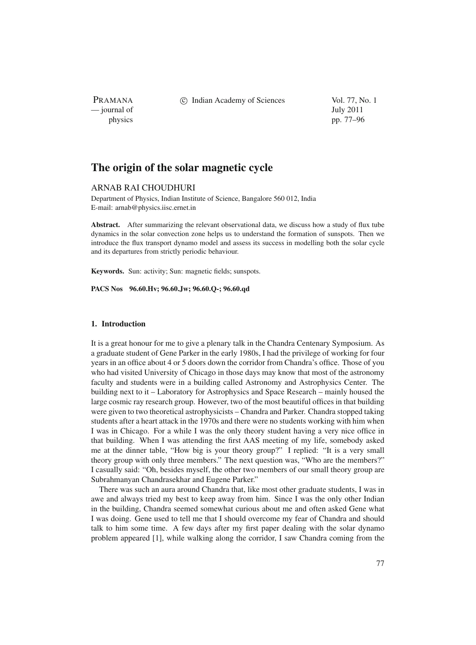PRAMANA — journal of July 2011

c Indian Academy of Sciences Vol. 77, No. 1

physics pp. 77–96

# **The origin of the solar magnetic cycle**

## ARNAB RAI CHOUDHURI

Department of Physics, Indian Institute of Science, Bangalore 560 012, India E-mail: arnab@physics.iisc.ernet.in

**Abstract.** After summarizing the relevant observational data, we discuss how a study of flux tube dynamics in the solar convection zone helps us to understand the formation of sunspots. Then we introduce the flux transport dynamo model and assess its success in modelling both the solar cycle and its departures from strictly periodic behaviour.

**Keywords.** Sun: activity; Sun: magnetic fields; sunspots.

**PACS Nos 96.60.Hv; 96.60.Jw; 96.60.Q-; 96.60.qd**

#### **1. Introduction**

It is a great honour for me to give a plenary talk in the Chandra Centenary Symposium. As a graduate student of Gene Parker in the early 1980s, I had the privilege of working for four years in an office about 4 or 5 doors down the corridor from Chandra's office. Those of you who had visited University of Chicago in those days may know that most of the astronomy faculty and students were in a building called Astronomy and Astrophysics Center. The building next to it – Laboratory for Astrophysics and Space Research – mainly housed the large cosmic ray research group. However, two of the most beautiful offices in that building were given to two theoretical astrophysicists – Chandra and Parker. Chandra stopped taking students after a heart attack in the 1970s and there were no students working with him when I was in Chicago. For a while I was the only theory student having a very nice office in that building. When I was attending the first AAS meeting of my life, somebody asked me at the dinner table, "How big is your theory group?" I replied: "It is a very small theory group with only three members." The next question was, "Who are the members?" I casually said: "Oh, besides myself, the other two members of our small theory group are Subrahmanyan Chandrasekhar and Eugene Parker."

There was such an aura around Chandra that, like most other graduate students, I was in awe and always tried my best to keep away from him. Since I was the only other Indian in the building, Chandra seemed somewhat curious about me and often asked Gene what I was doing. Gene used to tell me that I should overcome my fear of Chandra and should talk to him some time. A few days after my first paper dealing with the solar dynamo problem appeared [1], while walking along the corridor, I saw Chandra coming from the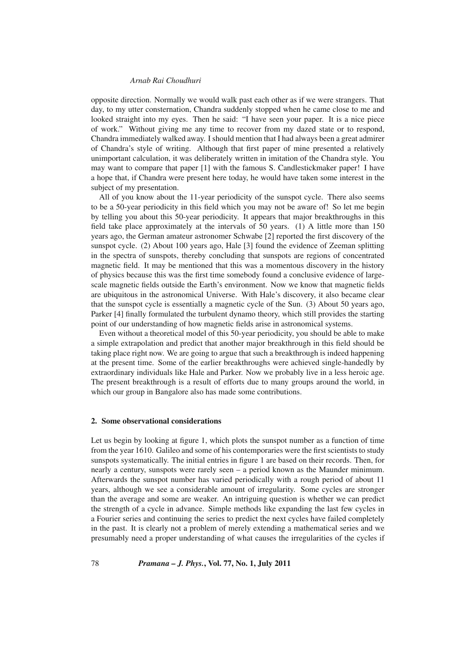opposite direction. Normally we would walk past each other as if we were strangers. That day, to my utter consternation, Chandra suddenly stopped when he came close to me and looked straight into my eyes. Then he said: "I have seen your paper. It is a nice piece of work." Without giving me any time to recover from my dazed state or to respond, Chandra immediately walked away. I should mention that I had always been a great admirer of Chandra's style of writing. Although that first paper of mine presented a relatively unimportant calculation, it was deliberately written in imitation of the Chandra style. You may want to compare that paper [1] with the famous S. Candlestickmaker paper! I have a hope that, if Chandra were present here today, he would have taken some interest in the subject of my presentation.

All of you know about the 11-year periodicity of the sunspot cycle. There also seems to be a 50-year periodicity in this field which you may not be aware of! So let me begin by telling you about this 50-year periodicity. It appears that major breakthroughs in this field take place approximately at the intervals of 50 years. (1) A little more than 150 years ago, the German amateur astronomer Schwabe [2] reported the first discovery of the sunspot cycle. (2) About 100 years ago, Hale [3] found the evidence of Zeeman splitting in the spectra of sunspots, thereby concluding that sunspots are regions of concentrated magnetic field. It may be mentioned that this was a momentous discovery in the history of physics because this was the first time somebody found a conclusive evidence of largescale magnetic fields outside the Earth's environment. Now we know that magnetic fields are ubiquitous in the astronomical Universe. With Hale's discovery, it also became clear that the sunspot cycle is essentially a magnetic cycle of the Sun. (3) About 50 years ago, Parker [4] finally formulated the turbulent dynamo theory, which still provides the starting point of our understanding of how magnetic fields arise in astronomical systems.

Even without a theoretical model of this 50-year periodicity, you should be able to make a simple extrapolation and predict that another major breakthrough in this field should be taking place right now. We are going to argue that such a breakthrough is indeed happening at the present time. Some of the earlier breakthroughs were achieved single-handedly by extraordinary individuals like Hale and Parker. Now we probably live in a less heroic age. The present breakthrough is a result of efforts due to many groups around the world, in which our group in Bangalore also has made some contributions.

## **2. Some observational considerations**

Let us begin by looking at figure 1, which plots the sunspot number as a function of time from the year 1610. Galileo and some of his contemporaries were the first scientists to study sunspots systematically. The initial entries in figure 1 are based on their records. Then, for nearly a century, sunspots were rarely seen – a period known as the Maunder minimum. Afterwards the sunspot number has varied periodically with a rough period of about 11 years, although we see a considerable amount of irregularity. Some cycles are stronger than the average and some are weaker. An intriguing question is whether we can predict the strength of a cycle in advance. Simple methods like expanding the last few cycles in a Fourier series and continuing the series to predict the next cycles have failed completely in the past. It is clearly not a problem of merely extending a mathematical series and we presumably need a proper understanding of what causes the irregularities of the cycles if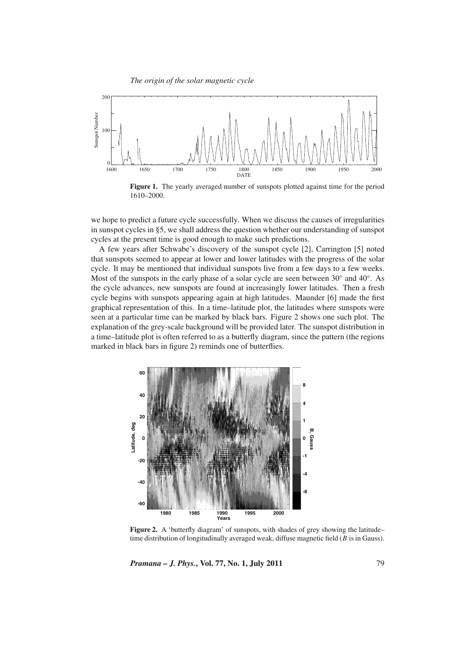*The origin of the solar magnetic cycle*



**Figure 1.** The yearly averaged number of sunspots plotted against time for the period 1610–2000.

we hope to predict a future cycle successfully. When we discuss the causes of irregularities in sunspot cycles in §5, we shall address the question whether our understanding of sunspot cycles at the present time is good enough to make such predictions.

A few years after Schwabe's discovery of the sunspot cycle [2], Carrington [5] noted that sunspots seemed to appear at lower and lower latitudes with the progress of the solar cycle. It may be mentioned that individual sunspots live from a few days to a few weeks. Most of the sunspots in the early phase of a solar cycle are seen between  $30°$  and  $40°$ . As the cycle advances, new sunspots are found at increasingly lower latitudes. Then a fresh cycle begins with sunspots appearing again at high latitudes. Maunder [6] made the first graphical representation of this. In a time–latitude plot, the latitudes where sunspots were seen at a particular time can be marked by black bars. Figure 2 shows one such plot. The explanation of the grey-scale background will be provided later. The sunspot distribution in a time–latitude plot is often referred to as a butterfly diagram, since the pattern (the regions marked in black bars in figure 2) reminds one of butterflies.



Figure 2. A 'butterfly diagram' of sunspots, with shades of grey showing the latitude– time distribution of longitudinally averaged weak, diffuse magnetic field (*B* is in Gauss).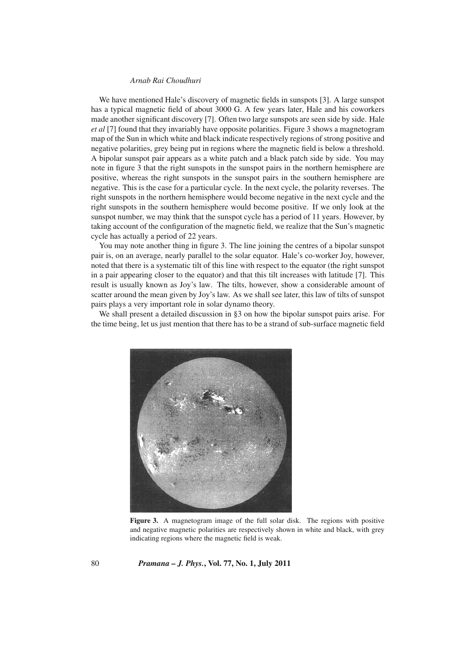We have mentioned Hale's discovery of magnetic fields in sunspots [3]. A large sunspot has a typical magnetic field of about 3000 G. A few years later, Hale and his coworkers made another significant discovery [7]. Often two large sunspots are seen side by side. Hale *et al* [7] found that they invariably have opposite polarities. Figure 3 shows a magnetogram map of the Sun in which white and black indicate respectively regions of strong positive and negative polarities, grey being put in regions where the magnetic field is below a threshold. A bipolar sunspot pair appears as a white patch and a black patch side by side. You may note in figure 3 that the right sunspots in the sunspot pairs in the northern hemisphere are positive, whereas the right sunspots in the sunspot pairs in the southern hemisphere are negative. This is the case for a particular cycle. In the next cycle, the polarity reverses. The right sunspots in the northern hemisphere would become negative in the next cycle and the right sunspots in the southern hemisphere would become positive. If we only look at the sunspot number, we may think that the sunspot cycle has a period of 11 years. However, by taking account of the configuration of the magnetic field, we realize that the Sun's magnetic cycle has actually a period of 22 years.

You may note another thing in figure 3. The line joining the centres of a bipolar sunspot pair is, on an average, nearly parallel to the solar equator. Hale's co-worker Joy, however, noted that there is a systematic tilt of this line with respect to the equator (the right sunspot in a pair appearing closer to the equator) and that this tilt increases with latitude [7]. This result is usually known as Joy's law. The tilts, however, show a considerable amount of scatter around the mean given by Joy's law. As we shall see later, this law of tilts of sunspot pairs plays a very important role in solar dynamo theory.

We shall present a detailed discussion in §3 on how the bipolar sunspot pairs arise. For the time being, let us just mention that there has to be a strand of sub-surface magnetic field



Figure 3. A magnetogram image of the full solar disk. The regions with positive and negative magnetic polarities are respectively shown in white and black, with grey indicating regions where the magnetic field is weak.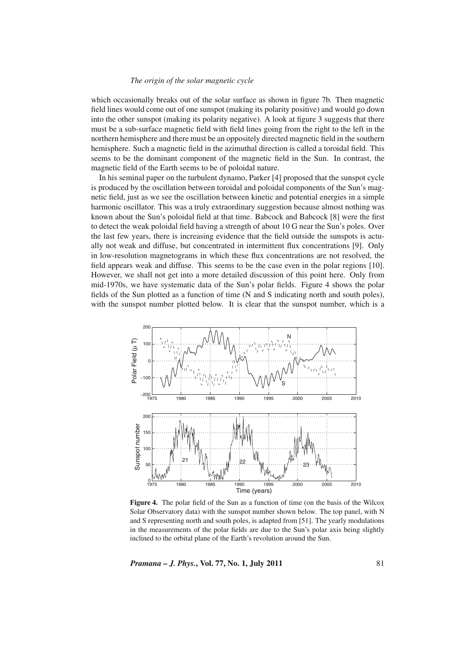which occasionally breaks out of the solar surface as shown in figure 7b. Then magnetic field lines would come out of one sunspot (making its polarity positive) and would go down into the other sunspot (making its polarity negative). A look at figure 3 suggests that there must be a sub-surface magnetic field with field lines going from the right to the left in the northern hemisphere and there must be an oppositely directed magnetic field in the southern hemisphere. Such a magnetic field in the azimuthal direction is called a toroidal field. This seems to be the dominant component of the magnetic field in the Sun. In contrast, the magnetic field of the Earth seems to be of poloidal nature.

In his seminal paper on the turbulent dynamo, Parker [4] proposed that the sunspot cycle is produced by the oscillation between toroidal and poloidal components of the Sun's magnetic field, just as we see the oscillation between kinetic and potential energies in a simple harmonic oscillator. This was a truly extraordinary suggestion because almost nothing was known about the Sun's poloidal field at that time. Babcock and Babcock [8] were the first to detect the weak poloidal field having a strength of about 10 G near the Sun's poles. Over the last few years, there is increasing evidence that the field outside the sunspots is actually not weak and diffuse, but concentrated in intermittent flux concentrations [9]. Only in low-resolution magnetograms in which these flux concentrations are not resolved, the field appears weak and diffuse. This seems to be the case even in the polar regions [10]. However, we shall not get into a more detailed discussion of this point here. Only from mid-1970s, we have systematic data of the Sun's polar fields. Figure 4 shows the polar fields of the Sun plotted as a function of time (N and S indicating north and south poles), with the sunspot number plotted below. It is clear that the sunspot number, which is a



**Figure 4.** The polar field of the Sun as a function of time (on the basis of the Wilcox Solar Observatory data) with the sunspot number shown below. The top panel, with N and S representing north and south poles, is adapted from [51]. The yearly modulations in the measurements of the polar fields are due to the Sun's polar axis being slightly inclined to the orbital plane of the Earth's revolution around the Sun.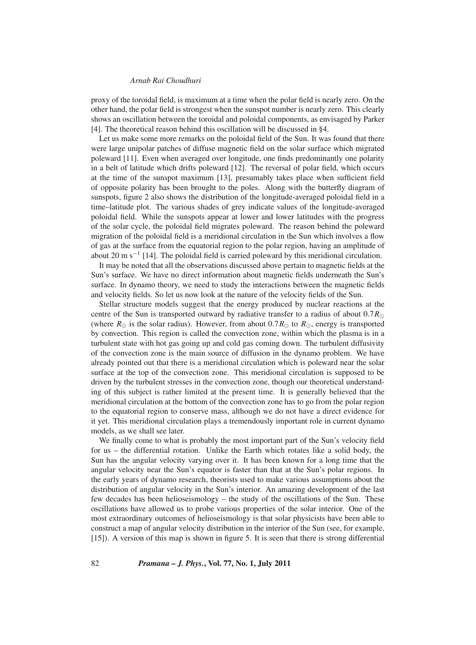proxy of the toroidal field, is maximum at a time when the polar field is nearly zero. On the other hand, the polar field is strongest when the sunspot number is nearly zero. This clearly shows an oscillation between the toroidal and poloidal components, as envisaged by Parker [4]. The theoretical reason behind this oscillation will be discussed in §4.

Let us make some more remarks on the poloidal field of the Sun. It was found that there were large unipolar patches of diffuse magnetic field on the solar surface which migrated poleward [11]. Even when averaged over longitude, one finds predominantly one polarity in a belt of latitude which drifts poleward [12]. The reversal of polar field, which occurs at the time of the sunspot maximum [13], presumably takes place when sufficient field of opposite polarity has been brought to the poles. Along with the butterfly diagram of sunspots, figure 2 also shows the distribution of the longitude-averaged poloidal field in a time–latitude plot. The various shades of grey indicate values of the longitude-averaged poloidal field. While the sunspots appear at lower and lower latitudes with the progress of the solar cycle, the poloidal field migrates poleward. The reason behind the poleward migration of the poloidal field is a meridional circulation in the Sun which involves a flow of gas at the surface from the equatorial region to the polar region, having an amplitude of about 20 m s<sup> $-1$ </sup> [14]. The poloidal field is carried poleward by this meridional circulation.

It may be noted that all the observations discussed above pertain to magnetic fields at the Sun's surface. We have no direct information about magnetic fields underneath the Sun's surface. In dynamo theory, we need to study the interactions between the magnetic fields and velocity fields. So let us now look at the nature of the velocity fields of the Sun.

Stellar structure models suggest that the energy produced by nuclear reactions at the centre of the Sun is transported outward by radiative transfer to a radius of about  $0.7R_{\odot}$ (where  $R_{\odot}$  is the solar radius). However, from about 0.7 $R_{\odot}$  to  $R_{\odot}$ , energy is transported by convection. This region is called the convection zone, within which the plasma is in a turbulent state with hot gas going up and cold gas coming down. The turbulent diffusivity of the convection zone is the main source of diffusion in the dynamo problem. We have already pointed out that there is a meridional circulation which is poleward near the solar surface at the top of the convection zone. This meridional circulation is supposed to be driven by the turbulent stresses in the convection zone, though our theoretical understanding of this subject is rather limited at the present time. It is generally believed that the meridional circulation at the bottom of the convection zone has to go from the polar region to the equatorial region to conserve mass, although we do not have a direct evidence for it yet. This meridional circulation plays a tremendously important role in current dynamo models, as we shall see later.

We finally come to what is probably the most important part of the Sun's velocity field for us – the differential rotation. Unlike the Earth which rotates like a solid body, the Sun has the angular velocity varying over it. It has been known for a long time that the angular velocity near the Sun's equator is faster than that at the Sun's polar regions. In the early years of dynamo research, theorists used to make various assumptions about the distribution of angular velocity in the Sun's interior. An amazing development of the last few decades has been helioseismology – the study of the oscillations of the Sun. These oscillations have allowed us to probe various properties of the solar interior. One of the most extraordinary outcomes of helioseismology is that solar physicists have been able to construct a map of angular velocity distribution in the interior of the Sun (see, for example, [15]). A version of this map is shown in figure 5. It is seen that there is strong differential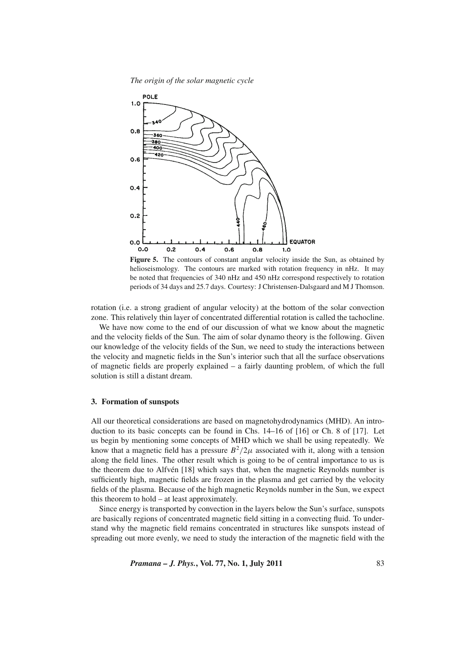

**Figure 5.** The contours of constant angular velocity inside the Sun, as obtained by helioseismology. The contours are marked with rotation frequency in nHz. It may be noted that frequencies of 340 nHz and 450 nHz correspond respectively to rotation periods of 34 days and 25.7 days. Courtesy: J Christensen-Dalsgaard and M J Thomson.

rotation (i.e. a strong gradient of angular velocity) at the bottom of the solar convection zone. This relatively thin layer of concentrated differential rotation is called the tachocline.

We have now come to the end of our discussion of what we know about the magnetic and the velocity fields of the Sun. The aim of solar dynamo theory is the following. Given our knowledge of the velocity fields of the Sun, we need to study the interactions between the velocity and magnetic fields in the Sun's interior such that all the surface observations of magnetic fields are properly explained – a fairly daunting problem, of which the full solution is still a distant dream.

#### **3. Formation of sunspots**

All our theoretical considerations are based on magnetohydrodynamics (MHD). An introduction to its basic concepts can be found in Chs. 14–16 of [16] or Ch. 8 of [17]. Let us begin by mentioning some concepts of MHD which we shall be using repeatedly. We know that a magnetic field has a pressure  $B^2/2\mu$  associated with it, along with a tension along the field lines. The other result which is going to be of central importance to us is the theorem due to Alfvén [18] which says that, when the magnetic Reynolds number is sufficiently high, magnetic fields are frozen in the plasma and get carried by the velocity fields of the plasma. Because of the high magnetic Reynolds number in the Sun, we expect this theorem to hold – at least approximately.

Since energy is transported by convection in the layers below the Sun's surface, sunspots are basically regions of concentrated magnetic field sitting in a convecting fluid. To understand why the magnetic field remains concentrated in structures like sunspots instead of spreading out more evenly, we need to study the interaction of the magnetic field with the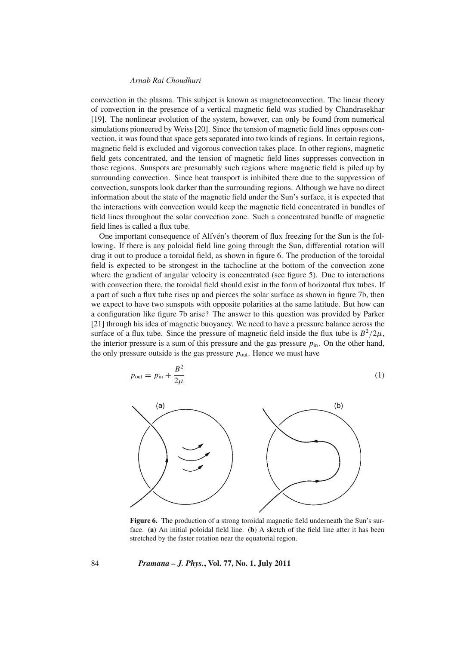convection in the plasma. This subject is known as magnetoconvection. The linear theory of convection in the presence of a vertical magnetic field was studied by Chandrasekhar [19]. The nonlinear evolution of the system, however, can only be found from numerical simulations pioneered by Weiss [20]. Since the tension of magnetic field lines opposes convection, it was found that space gets separated into two kinds of regions. In certain regions, magnetic field is excluded and vigorous convection takes place. In other regions, magnetic field gets concentrated, and the tension of magnetic field lines suppresses convection in those regions. Sunspots are presumably such regions where magnetic field is piled up by surrounding convection. Since heat transport is inhibited there due to the suppression of convection, sunspots look darker than the surrounding regions. Although we have no direct information about the state of the magnetic field under the Sun's surface, it is expected that the interactions with convection would keep the magnetic field concentrated in bundles of field lines throughout the solar convection zone. Such a concentrated bundle of magnetic field lines is called a flux tube.

One important consequence of Alfvén's theorem of flux freezing for the Sun is the following. If there is any poloidal field line going through the Sun, differential rotation will drag it out to produce a toroidal field, as shown in figure 6. The production of the toroidal field is expected to be strongest in the tachocline at the bottom of the convection zone where the gradient of angular velocity is concentrated (see figure 5). Due to interactions with convection there, the toroidal field should exist in the form of horizontal flux tubes. If a part of such a flux tube rises up and pierces the solar surface as shown in figure 7b, then we expect to have two sunspots with opposite polarities at the same latitude. But how can a configuration like figure 7b arise? The answer to this question was provided by Parker [21] through his idea of magnetic buoyancy. We need to have a pressure balance across the surface of a flux tube. Since the pressure of magnetic field inside the flux tube is  $B^2/2\mu$ , the interior pressure is a sum of this pressure and the gas pressure *p*in. On the other hand, the only pressure outside is the gas pressure  $p_{\text{out}}$ . Hence we must have

$$
p_{\text{out}} = p_{\text{in}} + \frac{B^2}{2\mu} \tag{1}
$$



Figure 6. The production of a strong toroidal magnetic field underneath the Sun's surface. (**a**) An initial poloidal field line. (**b**) A sketch of the field line after it has been stretched by the faster rotation near the equatorial region.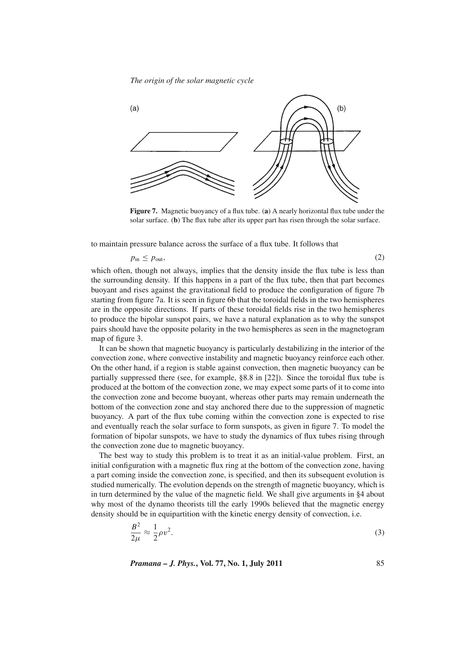

**Figure 7.** Magnetic buoyancy of a flux tube. (**a**) A nearly horizontal flux tube under the solar surface. (**b**) The flux tube after its upper part has risen through the solar surface.

to maintain pressure balance across the surface of a flux tube. It follows that

$$
p_{\rm in} \le p_{\rm out},\tag{2}
$$

which often, though not always, implies that the density inside the flux tube is less than the surrounding density. If this happens in a part of the flux tube, then that part becomes buoyant and rises against the gravitational field to produce the configuration of figure 7b starting from figure 7a. It is seen in figure 6b that the toroidal fields in the two hemispheres are in the opposite directions. If parts of these toroidal fields rise in the two hemispheres to produce the bipolar sunspot pairs, we have a natural explanation as to why the sunspot pairs should have the opposite polarity in the two hemispheres as seen in the magnetogram map of figure 3.

It can be shown that magnetic buoyancy is particularly destabilizing in the interior of the convection zone, where convective instability and magnetic buoyancy reinforce each other. On the other hand, if a region is stable against convection, then magnetic buoyancy can be partially suppressed there (see, for example, §8.8 in [22]). Since the toroidal flux tube is produced at the bottom of the convection zone, we may expect some parts of it to come into the convection zone and become buoyant, whereas other parts may remain underneath the bottom of the convection zone and stay anchored there due to the suppression of magnetic buoyancy. A part of the flux tube coming within the convection zone is expected to rise and eventually reach the solar surface to form sunspots, as given in figure 7. To model the formation of bipolar sunspots, we have to study the dynamics of flux tubes rising through the convection zone due to magnetic buoyancy.

The best way to study this problem is to treat it as an initial-value problem. First, an initial configuration with a magnetic flux ring at the bottom of the convection zone, having a part coming inside the convection zone, is specified, and then its subsequent evolution is studied numerically. The evolution depends on the strength of magnetic buoyancy, which is in turn determined by the value of the magnetic field. We shall give arguments in §4 about why most of the dynamo theorists till the early 1990s believed that the magnetic energy density should be in equipartition with the kinetic energy density of convection, i.e.

$$
\frac{B^2}{2\mu} \approx \frac{1}{2}\rho v^2. \tag{3}
$$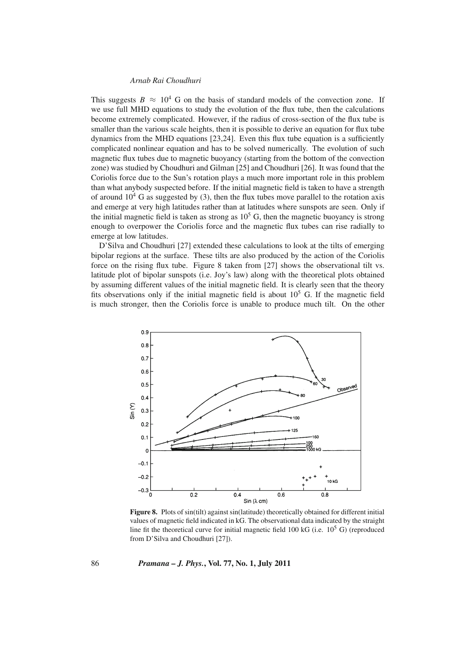This suggests  $B \approx 10^4$  G on the basis of standard models of the convection zone. If we use full MHD equations to study the evolution of the flux tube, then the calculations become extremely complicated. However, if the radius of cross-section of the flux tube is smaller than the various scale heights, then it is possible to derive an equation for flux tube dynamics from the MHD equations [23,24]. Even this flux tube equation is a sufficiently complicated nonlinear equation and has to be solved numerically. The evolution of such magnetic flux tubes due to magnetic buoyancy (starting from the bottom of the convection zone) was studied by Choudhuri and Gilman [25] and Choudhuri [26]. It was found that the Coriolis force due to the Sun's rotation plays a much more important role in this problem than what anybody suspected before. If the initial magnetic field is taken to have a strength of around  $10^4$  G as suggested by (3), then the flux tubes move parallel to the rotation axis and emerge at very high latitudes rather than at latitudes where sunspots are seen. Only if the initial magnetic field is taken as strong as  $10^5$  G, then the magnetic buoyancy is strong enough to overpower the Coriolis force and the magnetic flux tubes can rise radially to emerge at low latitudes.

D'Silva and Choudhuri [27] extended these calculations to look at the tilts of emerging bipolar regions at the surface. These tilts are also produced by the action of the Coriolis force on the rising flux tube. Figure 8 taken from [27] shows the observational tilt vs. latitude plot of bipolar sunspots (i.e. Joy's law) along with the theoretical plots obtained by assuming different values of the initial magnetic field. It is clearly seen that the theory fits observations only if the initial magnetic field is about  $10<sup>5</sup>$  G. If the magnetic field is much stronger, then the Coriolis force is unable to produce much tilt. On the other



**Figure 8.** Plots of sin(tilt) against sin(latitude) theoretically obtained for different initial values of magnetic field indicated in kG. The observational data indicated by the straight line fit the theoretical curve for initial magnetic field 100 kG (i.e.  $10^5$  G) (reproduced from D'Silva and Choudhuri [27]).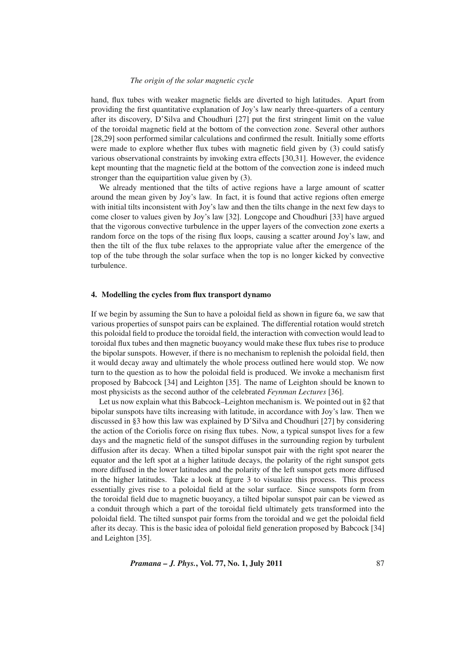hand, flux tubes with weaker magnetic fields are diverted to high latitudes. Apart from providing the first quantitative explanation of Joy's law nearly three-quarters of a century after its discovery, D'Silva and Choudhuri [27] put the first stringent limit on the value of the toroidal magnetic field at the bottom of the convection zone. Several other authors [28,29] soon performed similar calculations and confirmed the result. Initially some efforts were made to explore whether flux tubes with magnetic field given by (3) could satisfy various observational constraints by invoking extra effects [30,31]. However, the evidence kept mounting that the magnetic field at the bottom of the convection zone is indeed much stronger than the equipartition value given by (3).

We already mentioned that the tilts of active regions have a large amount of scatter around the mean given by Joy's law. In fact, it is found that active regions often emerge with initial tilts inconsistent with Joy's law and then the tilts change in the next few days to come closer to values given by Joy's law [32]. Longcope and Choudhuri [33] have argued that the vigorous convective turbulence in the upper layers of the convection zone exerts a random force on the tops of the rising flux loops, causing a scatter around Joy's law, and then the tilt of the flux tube relaxes to the appropriate value after the emergence of the top of the tube through the solar surface when the top is no longer kicked by convective turbulence.

## **4. Modelling the cycles from flux transport dynamo**

If we begin by assuming the Sun to have a poloidal field as shown in figure 6a, we saw that various properties of sunspot pairs can be explained. The differential rotation would stretch this poloidal field to produce the toroidal field, the interaction with convection would lead to toroidal flux tubes and then magnetic buoyancy would make these flux tubes rise to produce the bipolar sunspots. However, if there is no mechanism to replenish the poloidal field, then it would decay away and ultimately the whole process outlined here would stop. We now turn to the question as to how the poloidal field is produced. We invoke a mechanism first proposed by Babcock [34] and Leighton [35]. The name of Leighton should be known to most physicists as the second author of the celebrated *Feynman Lectures* [36].

Let us now explain what this Babcock–Leighton mechanism is. We pointed out in §2 that bipolar sunspots have tilts increasing with latitude, in accordance with Joy's law. Then we discussed in §3 how this law was explained by D'Silva and Choudhuri [27] by considering the action of the Coriolis force on rising flux tubes. Now, a typical sunspot lives for a few days and the magnetic field of the sunspot diffuses in the surrounding region by turbulent diffusion after its decay. When a tilted bipolar sunspot pair with the right spot nearer the equator and the left spot at a higher latitude decays, the polarity of the right sunspot gets more diffused in the lower latitudes and the polarity of the left sunspot gets more diffused in the higher latitudes. Take a look at figure 3 to visualize this process. This process essentially gives rise to a poloidal field at the solar surface. Since sunspots form from the toroidal field due to magnetic buoyancy, a tilted bipolar sunspot pair can be viewed as a conduit through which a part of the toroidal field ultimately gets transformed into the poloidal field. The tilted sunspot pair forms from the toroidal and we get the poloidal field after its decay. This is the basic idea of poloidal field generation proposed by Babcock [34] and Leighton [35].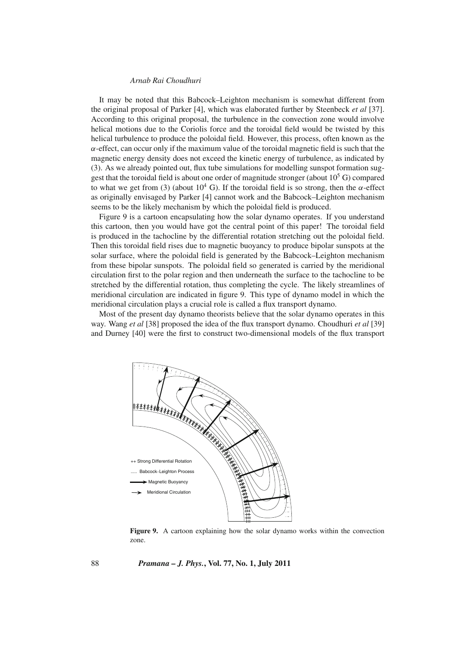It may be noted that this Babcock–Leighton mechanism is somewhat different from the original proposal of Parker [4], which was elaborated further by Steenbeck *et al* [37]. According to this original proposal, the turbulence in the convection zone would involve helical motions due to the Coriolis force and the toroidal field would be twisted by this helical turbulence to produce the poloidal field. However, this process, often known as the  $\alpha$ -effect, can occur only if the maximum value of the toroidal magnetic field is such that the magnetic energy density does not exceed the kinetic energy of turbulence, as indicated by (3). As we already pointed out, flux tube simulations for modelling sunspot formation suggest that the toroidal field is about one order of magnitude stronger (about  $10<sup>5</sup>$  G) compared to what we get from (3) (about  $10^4$  G). If the toroidal field is so strong, then the  $\alpha$ -effect as originally envisaged by Parker [4] cannot work and the Babcock–Leighton mechanism seems to be the likely mechanism by which the poloidal field is produced.

Figure 9 is a cartoon encapsulating how the solar dynamo operates. If you understand this cartoon, then you would have got the central point of this paper! The toroidal field is produced in the tachocline by the differential rotation stretching out the poloidal field. Then this toroidal field rises due to magnetic buoyancy to produce bipolar sunspots at the solar surface, where the poloidal field is generated by the Babcock–Leighton mechanism from these bipolar sunspots. The poloidal field so generated is carried by the meridional circulation first to the polar region and then underneath the surface to the tachocline to be stretched by the differential rotation, thus completing the cycle. The likely streamlines of meridional circulation are indicated in figure 9. This type of dynamo model in which the meridional circulation plays a crucial role is called a flux transport dynamo.

Most of the present day dynamo theorists believe that the solar dynamo operates in this way. Wang *et al* [38] proposed the idea of the flux transport dynamo. Choudhuri *et al* [39] and Durney [40] were the first to construct two-dimensional models of the flux transport



**Figure 9.** A cartoon explaining how the solar dynamo works within the convection zone.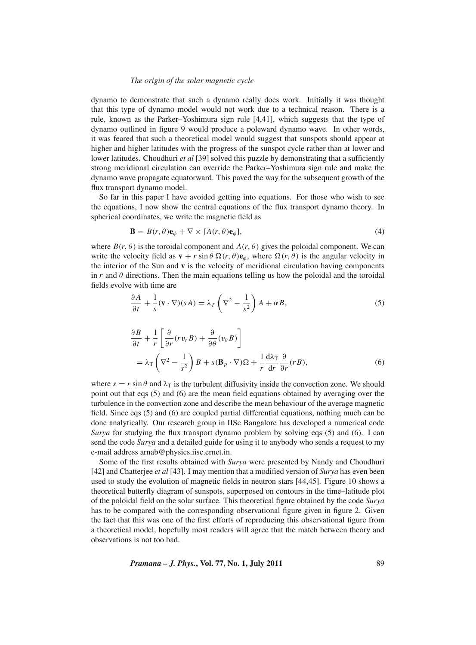dynamo to demonstrate that such a dynamo really does work. Initially it was thought that this type of dynamo model would not work due to a technical reason. There is a rule, known as the Parker–Yoshimura sign rule [4,41], which suggests that the type of dynamo outlined in figure 9 would produce a poleward dynamo wave. In other words, it was feared that such a theoretical model would suggest that sunspots should appear at higher and higher latitudes with the progress of the sunspot cycle rather than at lower and lower latitudes. Choudhuri *et al* [39] solved this puzzle by demonstrating that a sufficiently strong meridional circulation can override the Parker–Yoshimura sign rule and make the dynamo wave propagate equatorward. This paved the way for the subsequent growth of the flux transport dynamo model.

So far in this paper I have avoided getting into equations. For those who wish to see the equations, I now show the central equations of the flux transport dynamo theory. In spherical coordinates, we write the magnetic field as

$$
\mathbf{B} = B(r,\theta)\mathbf{e}_{\phi} + \nabla \times [A(r,\theta)\mathbf{e}_{\phi}],
$$
\n(4)

where  $B(r, \theta)$  is the toroidal component and  $A(r, \theta)$  gives the poloidal component. We can write the velocity field as  $\mathbf{v} + r \sin \theta \Omega(r, \theta) \mathbf{e}_{\phi}$ , where  $\Omega(r, \theta)$  is the angular velocity in the interior of the Sun and **v** is the velocity of meridional circulation having components in  $r$  and  $\theta$  directions. Then the main equations telling us how the poloidal and the toroidal fields evolve with time are

$$
\frac{\partial A}{\partial t} + \frac{1}{s} (\mathbf{v} \cdot \nabla)(sA) = \lambda_T \left( \nabla^2 - \frac{1}{s^2} \right) A + \alpha B,\tag{5}
$$

$$
\frac{\partial B}{\partial t} + \frac{1}{r} \left[ \frac{\partial}{\partial r} (r v_r B) + \frac{\partial}{\partial \theta} (v_{\theta} B) \right]
$$
  
=  $\lambda_{\text{T}} \left( \nabla^2 - \frac{1}{s^2} \right) B + s (\mathbf{B}_p \cdot \nabla) \Omega + \frac{1}{r} \frac{d \lambda_{\text{T}}}{dr} \frac{\partial}{\partial r} (r B),$  (6)

where  $s = r \sin \theta$  and  $\lambda_T$  is the turbulent diffusivity inside the convection zone. We should point out that eqs (5) and (6) are the mean field equations obtained by averaging over the turbulence in the convection zone and describe the mean behaviour of the average magnetic field. Since eqs (5) and (6) are coupled partial differential equations, nothing much can be done analytically. Our research group in IISc Bangalore has developed a numerical code *Surya* for studying the flux transport dynamo problem by solving eqs (5) and (6). I can send the code *Surya* and a detailed guide for using it to anybody who sends a request to my e-mail address arnab@physics.iisc.ernet.in.

Some of the first results obtained with *Surya* were presented by Nandy and Choudhuri [42] and Chatterjee *et al* [43]. I may mention that a modified version of *Surya* has even been used to study the evolution of magnetic fields in neutron stars [44,45]. Figure 10 shows a theoretical butterfly diagram of sunspots, superposed on contours in the time–latitude plot of the poloidal field on the solar surface. This theoretical figure obtained by the code *Surya* has to be compared with the corresponding observational figure given in figure 2. Given the fact that this was one of the first efforts of reproducing this observational figure from a theoretical model, hopefully most readers will agree that the match between theory and observations is not too bad.

*Pramana – J. Phys.***, Vol. 77, No. 1, July 2011** 89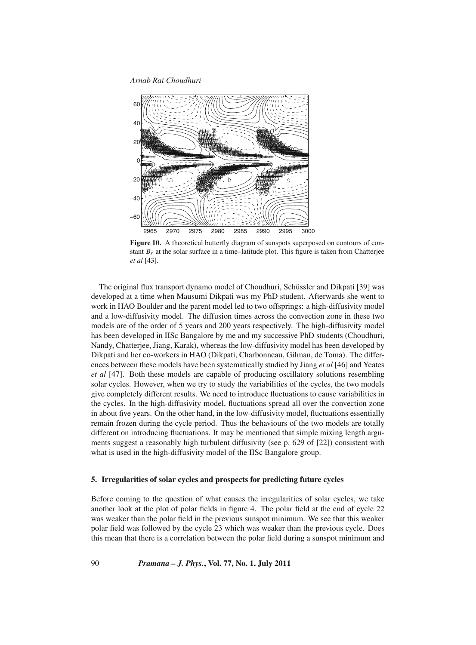

Figure 10. A theoretical butterfly diagram of sunspots superposed on contours of constant  $B_r$  at the solar surface in a time-latitude plot. This figure is taken from Chatterjee *et al* [43].

The original flux transport dynamo model of Choudhuri, Schüssler and Dikpati [39] was developed at a time when Mausumi Dikpati was my PhD student. Afterwards she went to work in HAO Boulder and the parent model led to two offsprings: a high-diffusivity model and a low-diffusivity model. The diffusion times across the convection zone in these two models are of the order of 5 years and 200 years respectively. The high-diffusivity model has been developed in IISc Bangalore by me and my successive PhD students (Choudhuri, Nandy, Chatterjee, Jiang, Karak), whereas the low-diffusivity model has been developed by Dikpati and her co-workers in HAO (Dikpati, Charbonneau, Gilman, de Toma). The differences between these models have been systematically studied by Jiang *et al* [46] and Yeates *et al* [47]. Both these models are capable of producing oscillatory solutions resembling solar cycles. However, when we try to study the variabilities of the cycles, the two models give completely different results. We need to introduce fluctuations to cause variabilities in the cycles. In the high-diffusivity model, fluctuations spread all over the convection zone in about five years. On the other hand, in the low-diffusivity model, fluctuations essentially remain frozen during the cycle period. Thus the behaviours of the two models are totally different on introducing fluctuations. It may be mentioned that simple mixing length arguments suggest a reasonably high turbulent diffusivity (see p. 629 of [22]) consistent with what is used in the high-diffusivity model of the IISc Bangalore group.

## **5. Irregularities of solar cycles and prospects for predicting future cycles**

Before coming to the question of what causes the irregularities of solar cycles, we take another look at the plot of polar fields in figure 4. The polar field at the end of cycle 22 was weaker than the polar field in the previous sunspot minimum. We see that this weaker polar field was followed by the cycle 23 which was weaker than the previous cycle. Does this mean that there is a correlation between the polar field during a sunspot minimum and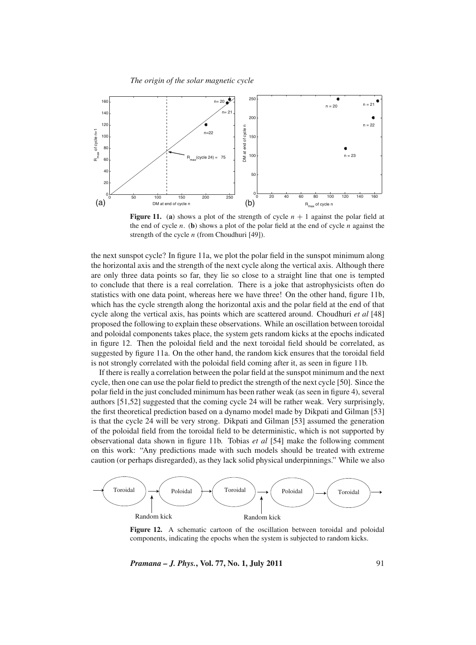

**Figure 11.** (a) shows a plot of the strength of cycle  $n + 1$  against the polar field at the end of cycle *n*. (**b**) shows a plot of the polar field at the end of cycle *n* against the strength of the cycle *n* (from Choudhuri [49]).

the next sunspot cycle? In figure 11a, we plot the polar field in the sunspot minimum along the horizontal axis and the strength of the next cycle along the vertical axis. Although there are only three data points so far, they lie so close to a straight line that one is tempted to conclude that there is a real correlation. There is a joke that astrophysicists often do statistics with one data point, whereas here we have three! On the other hand, figure 11b, which has the cycle strength along the horizontal axis and the polar field at the end of that cycle along the vertical axis, has points which are scattered around. Choudhuri *et al* [48] proposed the following to explain these observations. While an oscillation between toroidal and poloidal components takes place, the system gets random kicks at the epochs indicated in figure 12. Then the poloidal field and the next toroidal field should be correlated, as suggested by figure 11a. On the other hand, the random kick ensures that the toroidal field is not strongly correlated with the poloidal field coming after it, as seen in figure 11b.

If there is really a correlation between the polar field at the sunspot minimum and the next cycle, then one can use the polar field to predict the strength of the next cycle [50]. Since the polar field in the just concluded minimum has been rather weak (as seen in figure 4), several authors [51,52] suggested that the coming cycle 24 will be rather weak. Very surprisingly, the first theoretical prediction based on a dynamo model made by Dikpati and Gilman [53] is that the cycle 24 will be very strong. Dikpati and Gilman [53] assumed the generation of the poloidal field from the toroidal field to be deterministic, which is not supported by observational data shown in figure 11b. Tobias *et al* [54] make the following comment on this work: "Any predictions made with such models should be treated with extreme caution (or perhaps disregarded), as they lack solid physical underpinnings." While we also



**Figure 12.** A schematic cartoon of the oscillation between toroidal and poloidal components, indicating the epochs when the system is subjected to random kicks.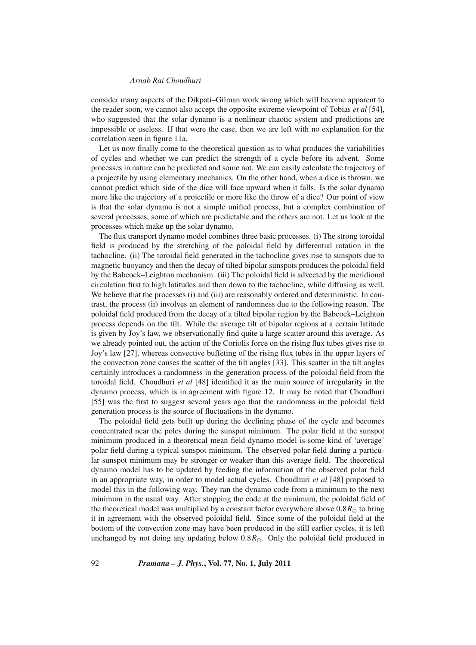consider many aspects of the Dikpati–Gilman work wrong which will become apparent to the reader soon, we cannot also accept the opposite extreme viewpoint of Tobias *et al* [54], who suggested that the solar dynamo is a nonlinear chaotic system and predictions are impossible or useless. If that were the case, then we are left with no explanation for the correlation seen in figure 11a.

Let us now finally come to the theoretical question as to what produces the variabilities of cycles and whether we can predict the strength of a cycle before its advent. Some processes in nature can be predicted and some not. We can easily calculate the trajectory of a projectile by using elementary mechanics. On the other hand, when a dice is thrown, we cannot predict which side of the dice will face upward when it falls. Is the solar dynamo more like the trajectory of a projectile or more like the throw of a dice? Our point of view is that the solar dynamo is not a simple unified process, but a complex combination of several processes, some of which are predictable and the others are not. Let us look at the processes which make up the solar dynamo.

The flux transport dynamo model combines three basic processes. (i) The strong toroidal field is produced by the stretching of the poloidal field by differential rotation in the tachocline. (ii) The toroidal field generated in the tachocline gives rise to sunspots due to magnetic buoyancy and then the decay of tilted bipolar sunspots produces the poloidal field by the Babcock–Leighton mechanism. (iii) The poloidal field is advected by the meridional circulation first to high latitudes and then down to the tachocline, while diffusing as well. We believe that the processes (i) and (iii) are reasonably ordered and deterministic. In contrast, the process (ii) involves an element of randomness due to the following reason. The poloidal field produced from the decay of a tilted bipolar region by the Babcock–Leighton process depends on the tilt. While the average tilt of bipolar regions at a certain latitude is given by Joy's law, we observationally find quite a large scatter around this average. As we already pointed out, the action of the Coriolis force on the rising flux tubes gives rise to Joy's law [27], whereas convective buffeting of the rising flux tubes in the upper layers of the convection zone causes the scatter of the tilt angles [33]. This scatter in the tilt angles certainly introduces a randomness in the generation process of the poloidal field from the toroidal field. Choudhuri *et al* [48] identified it as the main source of irregularity in the dynamo process, which is in agreement with figure 12. It may be noted that Choudhuri [55] was the first to suggest several years ago that the randomness in the poloidal field generation process is the source of fluctuations in the dynamo.

The poloidal field gets built up during the declining phase of the cycle and becomes concentrated near the poles during the sunspot minimum. The polar field at the sunspot minimum produced in a theoretical mean field dynamo model is some kind of 'average' polar field during a typical sunspot minimum. The observed polar field during a particular sunspot minimum may be stronger or weaker than this average field. The theoretical dynamo model has to be updated by feeding the information of the observed polar field in an appropriate way, in order to model actual cycles. Choudhuri *et al* [48] proposed to model this in the following way. They ran the dynamo code from a minimum to the next minimum in the usual way. After stopping the code at the minimum, the poloidal field of the theoretical model was multiplied by a constant factor everywhere above  $0.8R_{\odot}$  to bring it in agreement with the observed poloidal field. Since some of the poloidal field at the bottom of the convection zone may have been produced in the still earlier cycles, it is left unchanged by not doing any updating below  $0.8R_{\odot}$ . Only the poloidal field produced in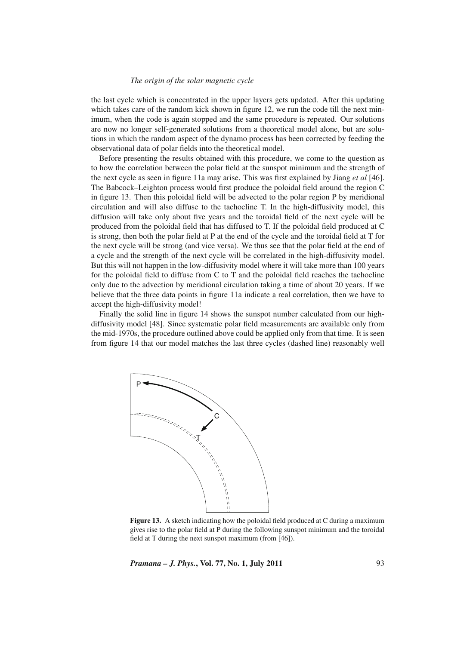the last cycle which is concentrated in the upper layers gets updated. After this updating which takes care of the random kick shown in figure 12, we run the code till the next minimum, when the code is again stopped and the same procedure is repeated. Our solutions are now no longer self-generated solutions from a theoretical model alone, but are solutions in which the random aspect of the dynamo process has been corrected by feeding the observational data of polar fields into the theoretical model.

Before presenting the results obtained with this procedure, we come to the question as to how the correlation between the polar field at the sunspot minimum and the strength of the next cycle as seen in figure 11a may arise. This was first explained by Jiang *et al* [46]. The Babcock–Leighton process would first produce the poloidal field around the region C in figure 13. Then this poloidal field will be advected to the polar region P by meridional circulation and will also diffuse to the tachocline T. In the high-diffusivity model, this diffusion will take only about five years and the toroidal field of the next cycle will be produced from the poloidal field that has diffused to T. If the poloidal field produced at C is strong, then both the polar field at P at the end of the cycle and the toroidal field at T for the next cycle will be strong (and vice versa). We thus see that the polar field at the end of a cycle and the strength of the next cycle will be correlated in the high-diffusivity model. But this will not happen in the low-diffusivity model where it will take more than 100 years for the poloidal field to diffuse from C to T and the poloidal field reaches the tachocline only due to the advection by meridional circulation taking a time of about 20 years. If we believe that the three data points in figure 11a indicate a real correlation, then we have to accept the high-diffusivity model!

Finally the solid line in figure 14 shows the sunspot number calculated from our highdiffusivity model [48]. Since systematic polar field measurements are available only from the mid-1970s, the procedure outlined above could be applied only from that time. It is seen from figure 14 that our model matches the last three cycles (dashed line) reasonably well



Figure 13. A sketch indicating how the poloidal field produced at C during a maximum gives rise to the polar field at P during the following sunspot minimum and the toroidal field at T during the next sunspot maximum (from [46]).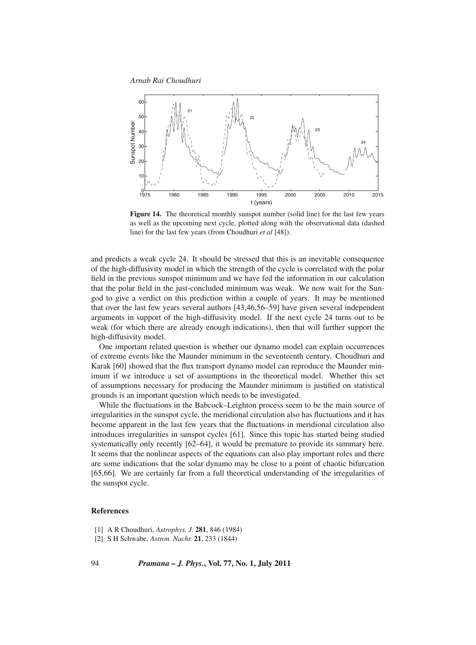

**Figure 14.** The theoretical monthly sunspot number (solid line) for the last few years as well as the upcoming next cycle, plotted along with the observational data (dashed line) for the last few years (from Choudhuri *et al* [48]).

and predicts a weak cycle 24. It should be stressed that this is an inevitable consequence of the high-diffusivity model in which the strength of the cycle is correlated with the polar field in the previous sunspot minimum and we have fed the information in our calculation that the polar field in the just-concluded minimum was weak. We now wait for the Sungod to give a verdict on this prediction within a couple of years. It may be mentioned that over the last few years several authors [43,46,56–59] have given several independent arguments in support of the high-diffusivity model. If the next cycle 24 turns out to be weak (for which there are already enough indications), then that will further support the high-diffusivity model.

One important related question is whether our dynamo model can explain occurrences of extreme events like the Maunder minimum in the seventeenth century. Choudhuri and Karak [60] showed that the flux transport dynamo model can reproduce the Maunder minimum if we introduce a set of assumptions in the theoretical model. Whether this set of assumptions necessary for producing the Maunder minimum is justified on statistical grounds is an important question which needs to be investigated.

While the fluctuations in the Babcock–Leighton process seem to be the main source of irregularities in the sunspot cycle, the meridional circulation also has fluctuations and it has become apparent in the last few years that the fluctuations in meridional circulation also introduces irregularities in sunspot cycles [61]. Since this topic has started being studied systematically only recently [62–64], it would be premature to provide its summary here. It seems that the nonlinear aspects of the equations can also play important roles and there are some indications that the solar dynamo may be close to a point of chaotic bifurcation [65,66]. We are certainly far from a full theoretical understanding of the irregularities of the sunspot cycle.

## **References**

- [1] A R Choudhuri, *Astrophys. J.* **281**, 846 (1984)
- [2] S H Schwabe, *Astron. Nachr.* **21**, 233 (1844)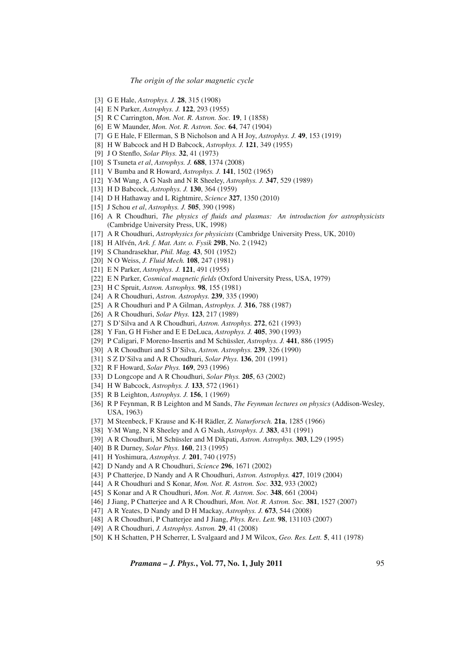- [3] G E Hale, *Astrophys. J.* **28**, 315 (1908)
- [4] E N Parker, *Astrophys. J.* **122**, 293 (1955)
- [5] R C Carrington, *Mon. Not. R. Astron. Soc.* **19**, 1 (1858)
- [6] E W Maunder, *Mon. Not. R. Astron. Soc.* **64**, 747 (1904)
- [7] G E Hale, F Ellerman, S B Nicholson and A H Joy, *Astrophys. J.* **49**, 153 (1919)
- [8] H W Babcock and H D Babcock, *Astrophys. J.* **121**, 349 (1955)
- [9] J O Stenflo, *Solar Phys.* **32**, 41 (1973)
- [10] S Tsuneta *et al*, *Astrophys. J.* **688**, 1374 (2008)
- [11] V Bumba and R Howard, *Astrophys. J.* **141**, 1502 (1965)
- [12] Y-M Wang, A G Nash and N R Sheeley, *Astrophys. J.* **347**, 529 (1989)
- [13] H D Babcock, *Astrophys. J.* **130**, 364 (1959)
- [14] D H Hathaway and L Rightmire, *Science* **327**, 1350 (2010)
- [15] J Schou *et al*, *Astrophys. J.* **505**, 390 (1998)
- [16] A R Choudhuri, *The physics of fluids and plasmas: An introduction for astrophysicists* (Cambridge University Press, UK, 1998)
- [17] A R Choudhuri, *Astrophysics for physicists* (Cambridge University Press, UK, 2010)
- [18] H Alfvén, *Ark. f. Mat. Astr. o. Fysik* **29B**, No. 2 (1942)
- [19] S Chandrasekhar, *Phil. Mag.* **43**, 501 (1952)
- [20] N O Weiss, *J. Fluid Mech.* **108**, 247 (1981)
- [21] E N Parker, *Astrophys. J.* **121**, 491 (1955)
- [22] E N Parker, *Cosmical magnetic fields* (Oxford University Press, USA, 1979)
- [23] H C Spruit, *Astron. Astrophys.* **98**, 155 (1981)
- [24] A R Choudhuri, *Astron. Astrophys.* **239**, 335 (1990)
- [25] A R Choudhuri and P A Gilman, *Astrophys. J.* **316**, 788 (1987)
- [26] A R Choudhuri, *Solar Phys.* **123**, 217 (1989)
- [27] S D'Silva and A R Choudhuri, *Astron. Astrophys.* **272**, 621 (1993)
- [28] Y Fan, G H Fisher and E E DeLuca, *Astrophys. J.* **405**, 390 (1993)
- [29] P Caligari, F Moreno-Insertis and M Schüssler, *Astrophys. J.* **441**, 886 (1995)
- [30] A R Choudhuri and S D'Silva, *Astron. Astrophys.* **239**, 326 (1990)
- [31] S Z D'Silva and A R Choudhuri, *Solar Phys.* **136**, 201 (1991)
- [32] R F Howard, *Solar Phys.* **169**, 293 (1996)
- [33] D Longcope and A R Choudhuri, *Solar Phys.* **205**, 63 (2002)
- [34] H W Babcock, *Astrophys. J.* **133**, 572 (1961)
- [35] R B Leighton, *Astrophys. J.* **156**, 1 (1969)
- [36] R P Feynman, R B Leighton and M Sands, *The Feynman lectures on physics* (Addison-Wesley, USA, 1963)
- [37] M Steenbeck, F Krause and K-H Rädler, *Z. Naturforsch.* **21a**, 1285 (1966)
- [38] Y-M Wang, N R Sheeley and A G Nash, *Astrophys. J.* **383**, 431 (1991)
- [39] A R Choudhuri, M Schüssler and M Dikpati, *Astron. Astrophys.* **303**, L29 (1995)
- [40] B R Durney, *Solar Phys.* **160**, 213 (1995)
- [41] H Yoshimura, *Astrophys. J.* **201**, 740 (1975)
- [42] D Nandy and A R Choudhuri, *Science* **296**, 1671 (2002)
- [43] P Chatterjee, D Nandy and A R Choudhuri, *Astron. Astrophys.* **427**, 1019 (2004)
- [44] A R Choudhuri and S Konar, *Mon. Not. R. Astron. Soc.* **332**, 933 (2002)
- [45] S Konar and A R Choudhuri, *Mon. Not. R. Astron. Soc.* **348**, 661 (2004)
- [46] J Jiang, P Chatterjee and A R Choudhuri, *Mon. Not. R. Astron. Soc.* **381**, 1527 (2007)
- [47] A R Yeates, D Nandy and D H Mackay, *Astrophys. J.* **673**, 544 (2008)
- [48] A R Choudhuri, P Chatterjee and J Jiang, *Phys. Re*v*. Lett.* **98**, 131103 (2007)
- [49] A R Choudhuri, *J. Astrophys. Astron.* **29**, 41 (2008)
- [50] K H Schatten, P H Scherrer, L Svalgaard and J M Wilcox, *Geo. Res. Lett.* **5**, 411 (1978)